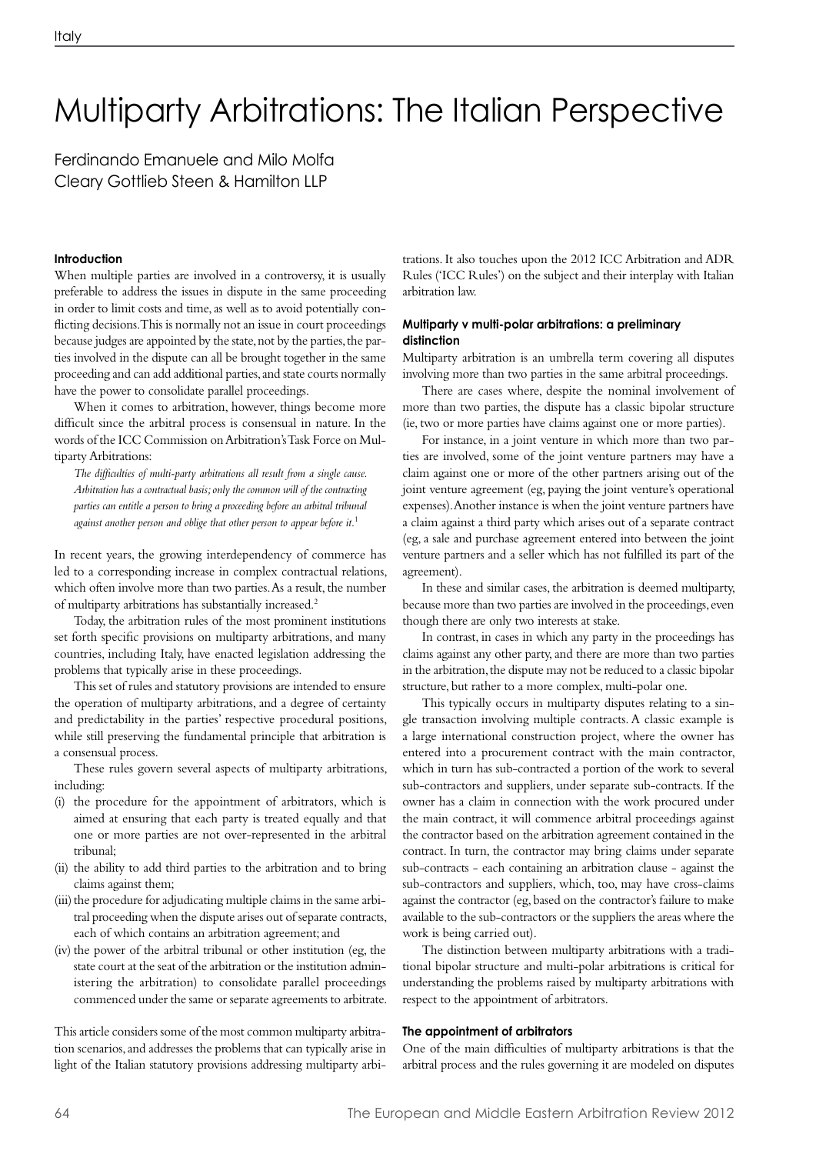# Multiparty Arbitrations: The Italian Perspective

Ferdinando Emanuele and Milo Molfa Cleary Gottlieb Steen & Hamilton LLP

# **Introduction**

When multiple parties are involved in a controversy, it is usually preferable to address the issues in dispute in the same proceeding in order to limit costs and time, as well as to avoid potentially conflicting decisions. This is normally not an issue in court proceedings because judges are appointed by the state, not by the parties, the parties involved in the dispute can all be brought together in the same proceeding and can add additional parties, and state courts normally have the power to consolidate parallel proceedings.

When it comes to arbitration, however, things become more difficult since the arbitral process is consensual in nature. In the words of the ICC Commission on Arbitration's Task Force on Multiparty Arbitrations:

*The difficulties of multi-party arbitrations all result from a single cause. Arbitration has a contractual basis; only the common will of the contracting parties can entitle a person to bring a proceeding before an arbitral tribunal against another person and oblige that other person to appear before it.*<sup>1</sup>

In recent years, the growing interdependency of commerce has led to a corresponding increase in complex contractual relations, which often involve more than two parties. As a result, the number of multiparty arbitrations has substantially increased.2

Today, the arbitration rules of the most prominent institutions set forth specific provisions on multiparty arbitrations, and many countries, including Italy, have enacted legislation addressing the problems that typically arise in these proceedings.

This set of rules and statutory provisions are intended to ensure the operation of multiparty arbitrations, and a degree of certainty and predictability in the parties' respective procedural positions, while still preserving the fundamental principle that arbitration is a consensual process.

These rules govern several aspects of multiparty arbitrations, including:

- (i) the procedure for the appointment of arbitrators, which is aimed at ensuring that each party is treated equally and that one or more parties are not over-represented in the arbitral tribunal;
- (ii) the ability to add third parties to the arbitration and to bring claims against them;
- (iii) the procedure for adjudicating multiple claims in the same arbitral proceeding when the dispute arises out of separate contracts, each of which contains an arbitration agreement; and
- (iv) the power of the arbitral tribunal or other institution (eg, the state court at the seat of the arbitration or the institution administering the arbitration) to consolidate parallel proceedings commenced under the same or separate agreements to arbitrate.

This article considers some of the most common multiparty arbitration scenarios, and addresses the problems that can typically arise in light of the Italian statutory provisions addressing multiparty arbi-

trations. It also touches upon the 2012 ICC Arbitration and ADR Rules ('ICC Rules') on the subject and their interplay with Italian arbitration law.

# **Multiparty v multi-polar arbitrations: a preliminary distinction**

Multiparty arbitration is an umbrella term covering all disputes involving more than two parties in the same arbitral proceedings.

There are cases where, despite the nominal involvement of more than two parties, the dispute has a classic bipolar structure (ie, two or more parties have claims against one or more parties).

For instance, in a joint venture in which more than two parties are involved, some of the joint venture partners may have a claim against one or more of the other partners arising out of the joint venture agreement (eg, paying the joint venture's operational expenses). Another instance is when the joint venture partners have a claim against a third party which arises out of a separate contract (eg, a sale and purchase agreement entered into between the joint venture partners and a seller which has not fulfilled its part of the agreement).

In these and similar cases, the arbitration is deemed multiparty, because more than two parties are involved in the proceedings, even though there are only two interests at stake.

In contrast, in cases in which any party in the proceedings has claims against any other party, and there are more than two parties in the arbitration, the dispute may not be reduced to a classic bipolar structure, but rather to a more complex, multi-polar one.

This typically occurs in multiparty disputes relating to a single transaction involving multiple contracts. A classic example is a large international construction project, where the owner has entered into a procurement contract with the main contractor, which in turn has sub-contracted a portion of the work to several sub-contractors and suppliers, under separate sub-contracts. If the owner has a claim in connection with the work procured under the main contract, it will commence arbitral proceedings against the contractor based on the arbitration agreement contained in the contract. In turn, the contractor may bring claims under separate sub-contracts - each containing an arbitration clause - against the sub-contractors and suppliers, which, too, may have cross-claims against the contractor (eg, based on the contractor's failure to make available to the sub-contractors or the suppliers the areas where the work is being carried out).

The distinction between multiparty arbitrations with a traditional bipolar structure and multi-polar arbitrations is critical for understanding the problems raised by multiparty arbitrations with respect to the appointment of arbitrators.

# **The appointment of arbitrators**

One of the main difficulties of multiparty arbitrations is that the arbitral process and the rules governing it are modeled on disputes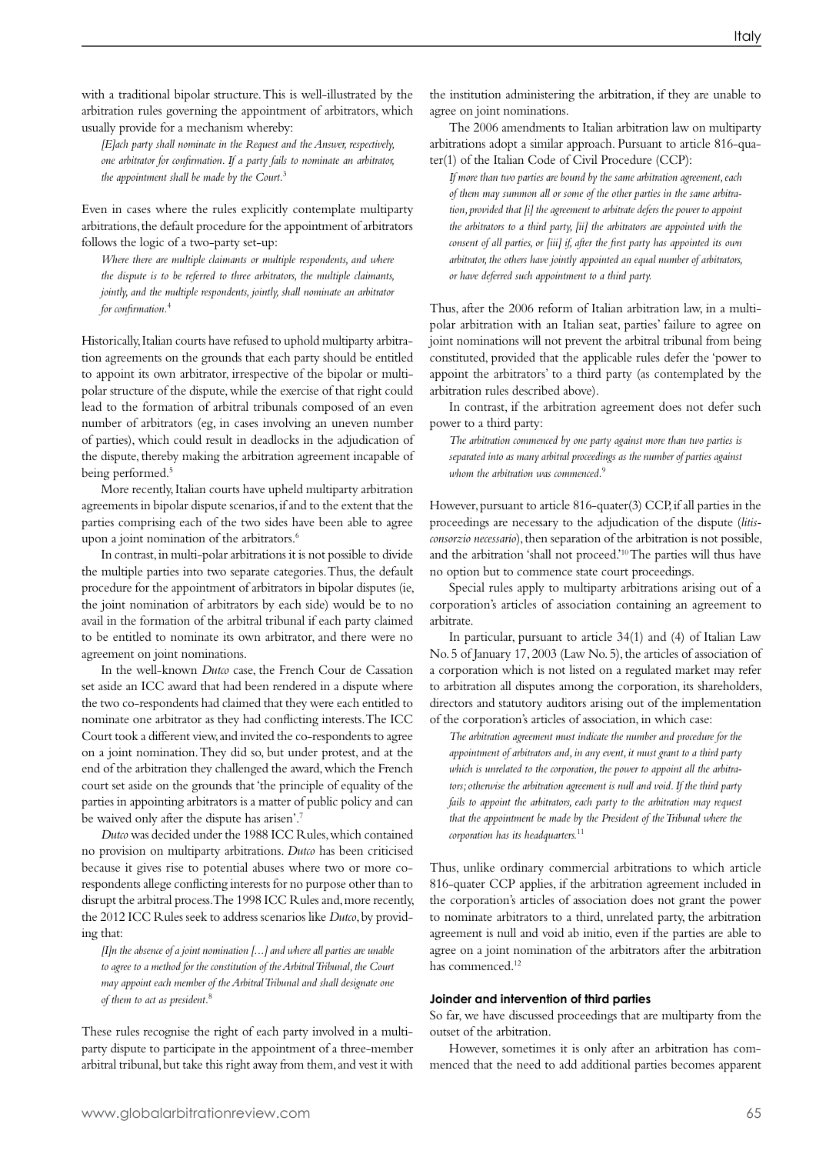with a traditional bipolar structure. This is well-illustrated by the arbitration rules governing the appointment of arbitrators, which usually provide for a mechanism whereby:

*[E]ach party shall nominate in the Request and the Answer, respectively, one arbitrator for confirmation. If a party fails to nominate an arbitrator, the appointment shall be made by the Court.*<sup>3</sup>

Even in cases where the rules explicitly contemplate multiparty arbitrations, the default procedure for the appointment of arbitrators follows the logic of a two-party set-up:

*Where there are multiple claimants or multiple respondents, and where the dispute is to be referred to three arbitrators, the multiple claimants, jointly, and the multiple respondents, jointly, shall nominate an arbitrator for confirmation.*<sup>4</sup>

Historically, Italian courts have refused to uphold multiparty arbitration agreements on the grounds that each party should be entitled to appoint its own arbitrator, irrespective of the bipolar or multipolar structure of the dispute, while the exercise of that right could lead to the formation of arbitral tribunals composed of an even number of arbitrators (eg, in cases involving an uneven number of parties), which could result in deadlocks in the adjudication of the dispute, thereby making the arbitration agreement incapable of being performed.5

More recently, Italian courts have upheld multiparty arbitration agreements in bipolar dispute scenarios, if and to the extent that the parties comprising each of the two sides have been able to agree upon a joint nomination of the arbitrators.<sup>6</sup>

In contrast, in multi-polar arbitrations it is not possible to divide the multiple parties into two separate categories. Thus, the default procedure for the appointment of arbitrators in bipolar disputes (ie, the joint nomination of arbitrators by each side) would be to no avail in the formation of the arbitral tribunal if each party claimed to be entitled to nominate its own arbitrator, and there were no agreement on joint nominations.

In the well-known *Dutco* case, the French Cour de Cassation set aside an ICC award that had been rendered in a dispute where the two co-respondents had claimed that they were each entitled to nominate one arbitrator as they had conflicting interests. The ICC Court took a different view, and invited the co-respondents to agree on a joint nomination. They did so, but under protest, and at the end of the arbitration they challenged the award, which the French court set aside on the grounds that 'the principle of equality of the parties in appointing arbitrators is a matter of public policy and can be waived only after the dispute has arisen'.7

*Dutco* was decided under the 1988 ICC Rules, which contained no provision on multiparty arbitrations. *Dutco* has been criticised because it gives rise to potential abuses where two or more corespondents allege conflicting interests for no purpose other than to disrupt the arbitral process. The 1998 ICC Rules and, more recently, the 2012 ICC Rules seek to address scenarios like *Dutco*, by providing that:

*[I]n the absence of a joint nomination [...] and where all parties are unable to agree to a method for the constitution of the Arbitral Tribunal, the Court may appoint each member of the Arbitral Tribunal and shall designate one of them to act as president.*<sup>8</sup>

These rules recognise the right of each party involved in a multiparty dispute to participate in the appointment of a three-member arbitral tribunal, but take this right away from them, and vest it with

the institution administering the arbitration, if they are unable to agree on joint nominations.

The 2006 amendments to Italian arbitration law on multiparty arbitrations adopt a similar approach. Pursuant to article 816-quater(1) of the Italian Code of Civil Procedure (CCP):

*If more than two parties are bound by the same arbitration agreement, each of them may summon all or some of the other parties in the same arbitration, provided that [i] the agreement to arbitrate defers the power to appoint the arbitrators to a third party, [ii] the arbitrators are appointed with the consent of all parties, or [iii] if, after the first party has appointed its own arbitrator, the others have jointly appointed an equal number of arbitrators, or have deferred such appointment to a third party.*

Thus, after the 2006 reform of Italian arbitration law, in a multipolar arbitration with an Italian seat, parties' failure to agree on joint nominations will not prevent the arbitral tribunal from being constituted, provided that the applicable rules defer the 'power to appoint the arbitrators' to a third party (as contemplated by the arbitration rules described above).

In contrast, if the arbitration agreement does not defer such power to a third party:

*The arbitration commenced by one party against more than two parties is separated into as many arbitral proceedings as the number of parties against whom the arbitration was commenced.*<sup>9</sup>

However, pursuant to article 816-quater(3) CCP, if all parties in the proceedings are necessary to the adjudication of the dispute (*litisconsorzio necessario*), then separation of the arbitration is not possible, and the arbitration 'shall not proceed.'10 The parties will thus have no option but to commence state court proceedings.

Special rules apply to multiparty arbitrations arising out of a corporation's articles of association containing an agreement to arbitrate.

In particular, pursuant to article 34(1) and (4) of Italian Law No. 5 of January 17, 2003 (Law No. 5), the articles of association of a corporation which is not listed on a regulated market may refer to arbitration all disputes among the corporation, its shareholders, directors and statutory auditors arising out of the implementation of the corporation's articles of association, in which case:

*The arbitration agreement must indicate the number and procedure for the appointment of arbitrators and, in any event, it must grant to a third party which is unrelated to the corporation, the power to appoint all the arbitrators; otherwise the arbitration agreement is null and void. If the third party fails to appoint the arbitrators, each party to the arbitration may request that the appointment be made by the President of the Tribunal where the corporation has its headquarters.*<sup>11</sup>

Thus, unlike ordinary commercial arbitrations to which article 816-quater CCP applies, if the arbitration agreement included in the corporation's articles of association does not grant the power to nominate arbitrators to a third, unrelated party, the arbitration agreement is null and void ab initio, even if the parties are able to agree on a joint nomination of the arbitrators after the arbitration has commenced.12

# **Joinder and intervention of third parties**

So far, we have discussed proceedings that are multiparty from the outset of the arbitration.

However, sometimes it is only after an arbitration has commenced that the need to add additional parties becomes apparent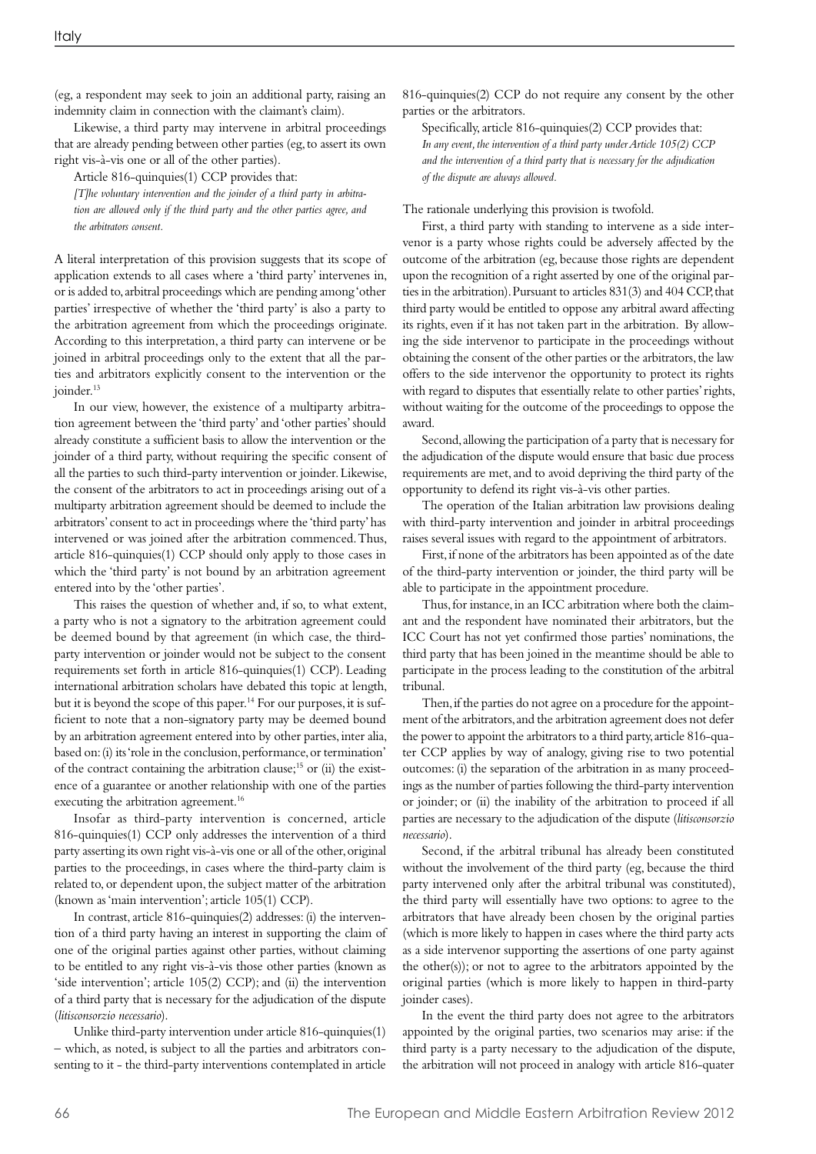(eg, a respondent may seek to join an additional party, raising an indemnity claim in connection with the claimant's claim).

Likewise, a third party may intervene in arbitral proceedings that are already pending between other parties (eg, to assert its own right vis-à-vis one or all of the other parties).

Article 816-quinquies(1) CCP provides that:

*[T]he voluntary intervention and the joinder of a third party in arbitration are allowed only if the third party and the other parties agree, and the arbitrators consent.*

A literal interpretation of this provision suggests that its scope of application extends to all cases where a 'third party' intervenes in, or is added to, arbitral proceedings which are pending among 'other parties' irrespective of whether the 'third party' is also a party to the arbitration agreement from which the proceedings originate. According to this interpretation, a third party can intervene or be joined in arbitral proceedings only to the extent that all the parties and arbitrators explicitly consent to the intervention or the joinder.<sup>13</sup>

In our view, however, the existence of a multiparty arbitration agreement between the 'third party' and 'other parties' should already constitute a sufficient basis to allow the intervention or the joinder of a third party, without requiring the specific consent of all the parties to such third-party intervention or joinder. Likewise, the consent of the arbitrators to act in proceedings arising out of a multiparty arbitration agreement should be deemed to include the arbitrators' consent to act in proceedings where the 'third party' has intervened or was joined after the arbitration commenced. Thus, article 816-quinquies(1) CCP should only apply to those cases in which the 'third party' is not bound by an arbitration agreement entered into by the 'other parties'.

This raises the question of whether and, if so, to what extent, a party who is not a signatory to the arbitration agreement could be deemed bound by that agreement (in which case, the thirdparty intervention or joinder would not be subject to the consent requirements set forth in article 816-quinquies(1) CCP). Leading international arbitration scholars have debated this topic at length, but it is beyond the scope of this paper.<sup>14</sup> For our purposes, it is sufficient to note that a non-signatory party may be deemed bound by an arbitration agreement entered into by other parties, inter alia, based on: (i) its 'role in the conclusion, performance, or termination' of the contract containing the arbitration clause;15 or (ii) the existence of a guarantee or another relationship with one of the parties executing the arbitration agreement.<sup>16</sup>

Insofar as third-party intervention is concerned, article 816-quinquies(1) CCP only addresses the intervention of a third party asserting its own right vis-à-vis one or all of the other, original parties to the proceedings, in cases where the third-party claim is related to, or dependent upon, the subject matter of the arbitration (known as 'main intervention'; article 105(1) CCP).

In contrast, article 816-quinquies(2) addresses: (i) the intervention of a third party having an interest in supporting the claim of one of the original parties against other parties, without claiming to be entitled to any right vis-à-vis those other parties (known as 'side intervention'; article 105(2) CCP); and (ii) the intervention of a third party that is necessary for the adjudication of the dispute (*litisconsorzio necessario*).

Unlike third-party intervention under article 816-quinquies(1) – which, as noted, is subject to all the parties and arbitrators consenting to it - the third-party interventions contemplated in article 816-quinquies(2) CCP do not require any consent by the other parties or the arbitrators.

Specifically, article 816-quinquies(2) CCP provides that: *In any event, the intervention of a third party under Article 105(2) CCP and the intervention of a third party that is necessary for the adjudication of the dispute are always allowed.* 

The rationale underlying this provision is twofold.

First, a third party with standing to intervene as a side intervenor is a party whose rights could be adversely affected by the outcome of the arbitration (eg, because those rights are dependent upon the recognition of a right asserted by one of the original parties in the arbitration). Pursuant to articles 831(3) and 404 CCP, that third party would be entitled to oppose any arbitral award affecting its rights, even if it has not taken part in the arbitration. By allowing the side intervenor to participate in the proceedings without obtaining the consent of the other parties or the arbitrators, the law offers to the side intervenor the opportunity to protect its rights with regard to disputes that essentially relate to other parties' rights, without waiting for the outcome of the proceedings to oppose the award.

Second, allowing the participation of a party that is necessary for the adjudication of the dispute would ensure that basic due process requirements are met, and to avoid depriving the third party of the opportunity to defend its right vis-à-vis other parties.

The operation of the Italian arbitration law provisions dealing with third-party intervention and joinder in arbitral proceedings raises several issues with regard to the appointment of arbitrators.

First, if none of the arbitrators has been appointed as of the date of the third-party intervention or joinder, the third party will be able to participate in the appointment procedure.

Thus, for instance, in an ICC arbitration where both the claimant and the respondent have nominated their arbitrators, but the ICC Court has not yet confirmed those parties' nominations, the third party that has been joined in the meantime should be able to participate in the process leading to the constitution of the arbitral tribunal.

Then, if the parties do not agree on a procedure for the appointment of the arbitrators, and the arbitration agreement does not defer the power to appoint the arbitrators to a third party, article 816-quater CCP applies by way of analogy, giving rise to two potential outcomes: (i) the separation of the arbitration in as many proceedings as the number of parties following the third-party intervention or joinder; or (ii) the inability of the arbitration to proceed if all parties are necessary to the adjudication of the dispute (*litisconsorzio necessario*).

Second, if the arbitral tribunal has already been constituted without the involvement of the third party (eg, because the third party intervened only after the arbitral tribunal was constituted), the third party will essentially have two options: to agree to the arbitrators that have already been chosen by the original parties (which is more likely to happen in cases where the third party acts as a side intervenor supporting the assertions of one party against the other(s)); or not to agree to the arbitrators appointed by the original parties (which is more likely to happen in third-party ioinder cases).

In the event the third party does not agree to the arbitrators appointed by the original parties, two scenarios may arise: if the third party is a party necessary to the adjudication of the dispute, the arbitration will not proceed in analogy with article 816-quater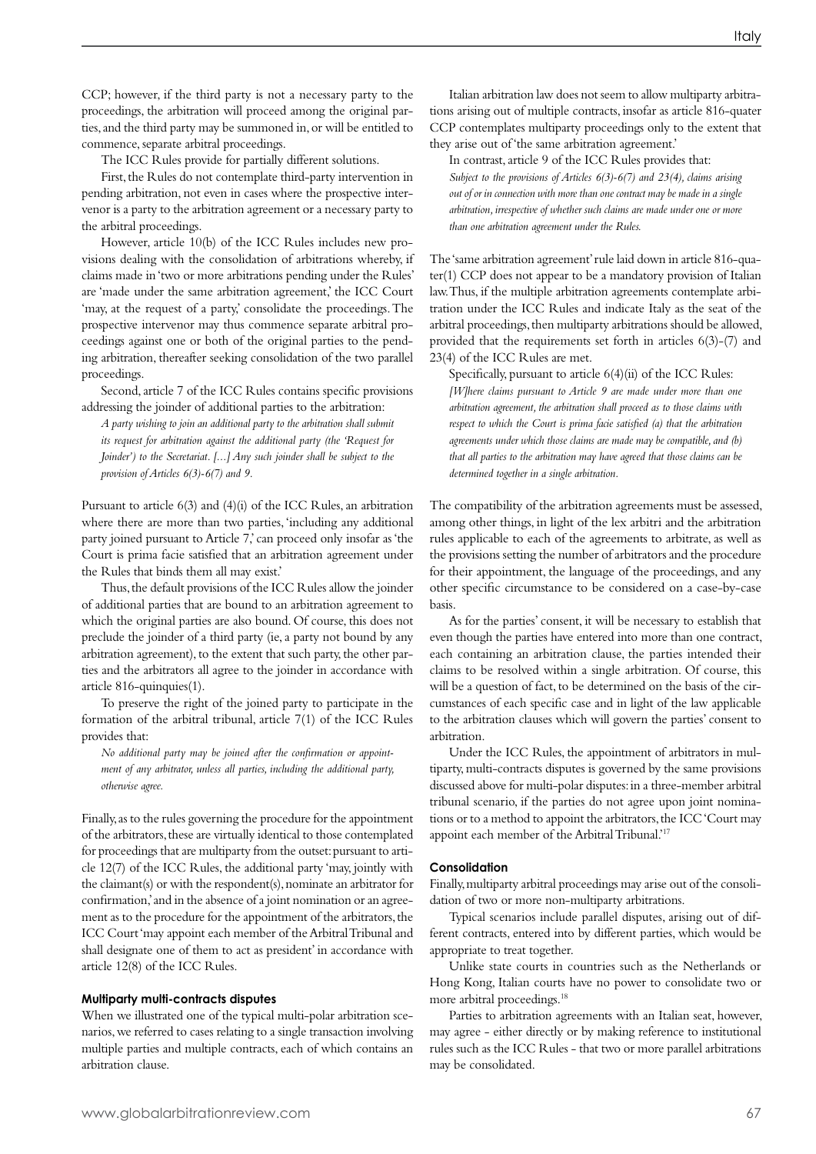CCP; however, if the third party is not a necessary party to the proceedings, the arbitration will proceed among the original parties, and the third party may be summoned in, or will be entitled to commence, separate arbitral proceedings.

The ICC Rules provide for partially different solutions.

First, the Rules do not contemplate third-party intervention in pending arbitration, not even in cases where the prospective intervenor is a party to the arbitration agreement or a necessary party to the arbitral proceedings.

However, article 10(b) of the ICC Rules includes new provisions dealing with the consolidation of arbitrations whereby, if claims made in 'two or more arbitrations pending under the Rules' are 'made under the same arbitration agreement,' the ICC Court 'may, at the request of a party,' consolidate the proceedings. The prospective intervenor may thus commence separate arbitral proceedings against one or both of the original parties to the pending arbitration, thereafter seeking consolidation of the two parallel proceedings.

Second, article 7 of the ICC Rules contains specific provisions addressing the joinder of additional parties to the arbitration:

*A party wishing to join an additional party to the arbitration shall submit its request for arbitration against the additional party (the 'Request for Joinder') to the Secretariat. [...] Any such joinder shall be subject to the provision of Articles 6(3)-6(7) and 9.*

Pursuant to article 6(3) and (4)(i) of the ICC Rules, an arbitration where there are more than two parties, 'including any additional party joined pursuant to Article 7, can proceed only insofar as 'the Court is prima facie satisfied that an arbitration agreement under the Rules that binds them all may exist.'

Thus, the default provisions of the ICC Rules allow the joinder of additional parties that are bound to an arbitration agreement to which the original parties are also bound. Of course, this does not preclude the joinder of a third party (ie, a party not bound by any arbitration agreement), to the extent that such party, the other parties and the arbitrators all agree to the joinder in accordance with article 816-quinquies(1).

To preserve the right of the joined party to participate in the formation of the arbitral tribunal, article 7(1) of the ICC Rules provides that:

*No additional party may be joined after the confirmation or appointment of any arbitrator, unless all parties, including the additional party, otherwise agree.*

Finally, as to the rules governing the procedure for the appointment of the arbitrators, these are virtually identical to those contemplated for proceedings that are multiparty from the outset: pursuant to article 12(7) of the ICC Rules, the additional party 'may, jointly with the claimant(s) or with the respondent(s), nominate an arbitrator for confirmation,' and in the absence of a joint nomination or an agreement as to the procedure for the appointment of the arbitrators, the ICC Court 'may appoint each member of the Arbitral Tribunal and shall designate one of them to act as president' in accordance with article 12(8) of the ICC Rules.

### **Multiparty multi-contracts disputes**

When we illustrated one of the typical multi-polar arbitration scenarios, we referred to cases relating to a single transaction involving multiple parties and multiple contracts, each of which contains an arbitration clause.

Italian arbitration law does not seem to allow multiparty arbitrations arising out of multiple contracts, insofar as article 816-quater CCP contemplates multiparty proceedings only to the extent that they arise out of 'the same arbitration agreement.'

In contrast, article 9 of the ICC Rules provides that: *Subject to the provisions of Articles 6(3)-6(7) and 23(4), claims arising out of or in connection with more than one contract may be made in a single arbitration, irrespective of whether such claims are made under one or more than one arbitration agreement under the Rules.*

The 'same arbitration agreement' rule laid down in article 816-quater(1) CCP does not appear to be a mandatory provision of Italian law. Thus, if the multiple arbitration agreements contemplate arbitration under the ICC Rules and indicate Italy as the seat of the arbitral proceedings, then multiparty arbitrations should be allowed, provided that the requirements set forth in articles 6(3)-(7) and 23(4) of the ICC Rules are met.

Specifically, pursuant to article 6(4)(ii) of the ICC Rules: *[W]here claims pursuant to Article 9 are made under more than one arbitration agreement, the arbitration shall proceed as to those claims with respect to which the Court is prima facie satisfied (a) that the arbitration agreements under which those claims are made may be compatible, and (b) that all parties to the arbitration may have agreed that those claims can be determined together in a single arbitration.*

The compatibility of the arbitration agreements must be assessed, among other things, in light of the lex arbitri and the arbitration rules applicable to each of the agreements to arbitrate, as well as the provisions setting the number of arbitrators and the procedure for their appointment, the language of the proceedings, and any other specific circumstance to be considered on a case-by-case basis.

As for the parties' consent, it will be necessary to establish that even though the parties have entered into more than one contract, each containing an arbitration clause, the parties intended their claims to be resolved within a single arbitration. Of course, this will be a question of fact, to be determined on the basis of the circumstances of each specific case and in light of the law applicable to the arbitration clauses which will govern the parties' consent to arbitration.

Under the ICC Rules, the appointment of arbitrators in multiparty, multi-contracts disputes is governed by the same provisions discussed above for multi-polar disputes: in a three-member arbitral tribunal scenario, if the parties do not agree upon joint nominations or to a method to appoint the arbitrators, the ICC 'Court may appoint each member of the Arbitral Tribunal.'17

# **Consolidation**

Finally, multiparty arbitral proceedings may arise out of the consolidation of two or more non-multiparty arbitrations.

Typical scenarios include parallel disputes, arising out of different contracts, entered into by different parties, which would be appropriate to treat together.

Unlike state courts in countries such as the Netherlands or Hong Kong, Italian courts have no power to consolidate two or more arbitral proceedings.18

Parties to arbitration agreements with an Italian seat, however, may agree - either directly or by making reference to institutional rules such as the ICC Rules - that two or more parallel arbitrations may be consolidated.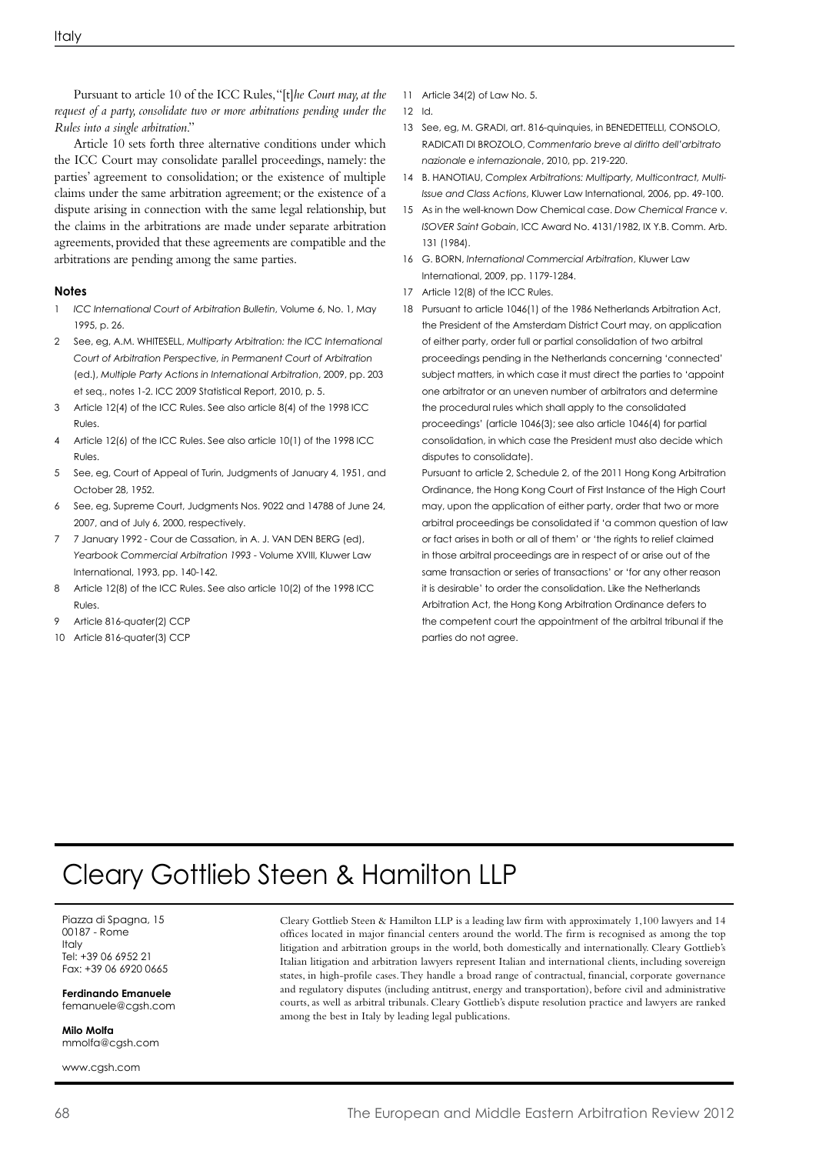Pursuant to article 10 of the ICC Rules, "[t]*he Court may, at the request of a party, consolidate two or more arbitrations pending under the Rules into a single arbitration*."

Article 10 sets forth three alternative conditions under which the ICC Court may consolidate parallel proceedings, namely: the parties' agreement to consolidation; or the existence of multiple claims under the same arbitration agreement; or the existence of a dispute arising in connection with the same legal relationship, but the claims in the arbitrations are made under separate arbitration agreements, provided that these agreements are compatible and the arbitrations are pending among the same parties.

# **Notes**

- 1 *ICC International Court of Arbitration Bulletin*, Volume 6, No. 1, May 1995, p. 26.
- 2 See, eg, A.M. WHITESELL, *Multiparty Arbitration: the ICC International Court of Arbitration Perspective, in Permanent Court of Arbitration* (ed.), *Multiple Party Actions in International Arbitration*, 2009, pp. 203 et seq., notes 1-2. ICC 2009 Statistical Report, 2010, p. 5.
- 3 Article 12(4) of the ICC Rules. See also article 8(4) of the 1998 ICC Rules.
- 4 Article 12(6) of the ICC Rules. See also article 10(1) of the 1998 ICC Rules.
- 5 See, eg, Court of Appeal of Turin, Judgments of January 4, 1951, and October 28, 1952.
- 6 See, eg, Supreme Court, Judgments Nos. 9022 and 14788 of June 24, 2007, and of July 6, 2000, respectively.
- 7 7 January 1992 Cour de Cassation, in A. J. VAN DEN BERG (ed), *Yearbook Commercial Arbitration 1993* - Volume XVIII, Kluwer Law International, 1993, pp. 140-142.
- 8 Article 12(8) of the ICC Rules. See also article 10(2) of the 1998 ICC Rules.
- 9 Article 816-quater(2) CCP
- 10 Article 816-quater(3) CCP
- 11 Article 34(2) of Law No. 5.
- 12 Id.
- 13 See, eg, M. GRADI, art. 816-quinquies, in BENEDETTELLI, CONSOLO, RADICATI DI BROZOLO, *Commentario breve al diritto dell'arbitrato nazionale e internazionale*, 2010, pp. 219-220.
- 14 B. HANOTIAU, *Complex Arbitrations: Multiparty, Multicontract, Multi-Issue and Class Actions*, Kluwer Law International, 2006, pp. 49-100.
- 15 As in the well-known Dow Chemical case. *Dow Chemical France v. ISOVER Saint Gobain*, ICC Award No. 4131/1982, IX Y.B. Comm. Arb. 131 (1984).
- 16 G. BORN, *International Commercial Arbitration*, Kluwer Law International, 2009, pp. 1179-1284.
- 17 Article 12(8) of the ICC Rules.
- 18 Pursuant to article 1046(1) of the 1986 Netherlands Arbitration Act, the President of the Amsterdam District Court may, on application of either party, order full or partial consolidation of two arbitral proceedings pending in the Netherlands concerning 'connected' subject matters, in which case it must direct the parties to 'appoint one arbitrator or an uneven number of arbitrators and determine the procedural rules which shall apply to the consolidated proceedings' (article 1046(3); see also article 1046(4) for partial consolidation, in which case the President must also decide which disputes to consolidate).

 Pursuant to article 2, Schedule 2, of the 2011 Hong Kong Arbitration Ordinance, the Hong Kong Court of First Instance of the High Court may, upon the application of either party, order that two or more arbitral proceedings be consolidated if 'a common question of law or fact arises in both or all of them' or 'the rights to relief claimed in those arbitral proceedings are in respect of or arise out of the same transaction or series of transactions' or 'for any other reason it is desirable' to order the consolidation. Like the Netherlands Arbitration Act, the Hong Kong Arbitration Ordinance defers to the competent court the appointment of the arbitral tribunal if the parties do not agree.

# Cleary Gottlieb Steen & Hamilton LLP

Piazza di Spagna, 15 00187 - Rome **Italy** Tel: +39 06 6952 21 Fax: +39 06 6920 0665

**Ferdinando Emanuele** femanuele@cgsh.com

**Milo Molfa** mmolfa@cgsh.com

www.cgsh.com

Cleary Gottlieb Steen & Hamilton LLP is a leading law firm with approximately 1,100 lawyers and 14 offices located in major financial centers around the world. The firm is recognised as among the top litigation and arbitration groups in the world, both domestically and internationally. Cleary Gottlieb's Italian litigation and arbitration lawyers represent Italian and international clients, including sovereign states, in high-profile cases. They handle a broad range of contractual, financial, corporate governance and regulatory disputes (including antitrust, energy and transportation), before civil and administrative courts, as well as arbitral tribunals. Cleary Gottlieb's dispute resolution practice and lawyers are ranked among the best in Italy by leading legal publications.